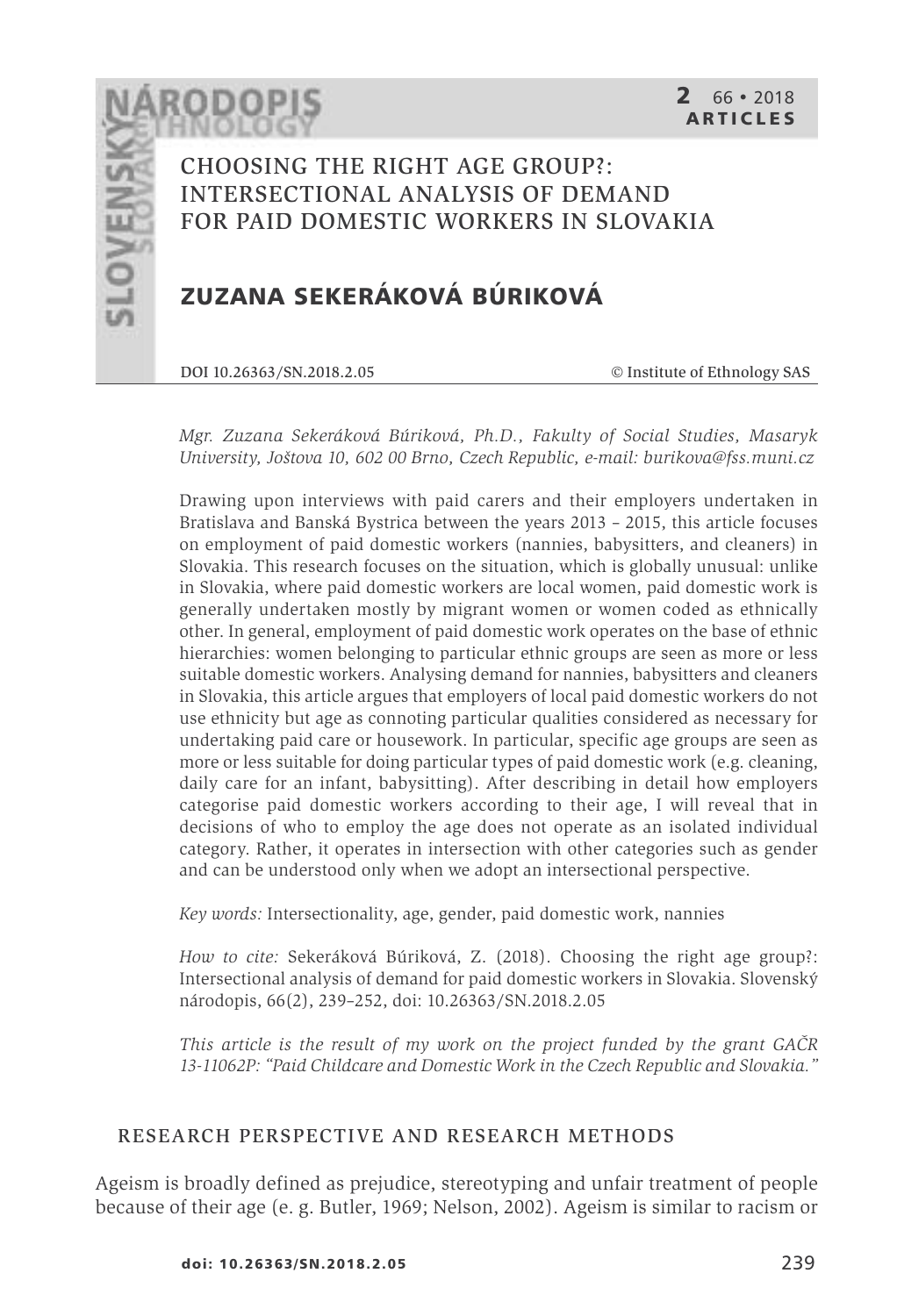CHOOSING THE RIGHT AGE GROUP?: INTERSECTIONAL ANALYSIS OF DEMAND FOR PAID DOMESTIC WORKERS IN SLOVAKIA

# **ZUZANA SEKERÁKOVÁ BÚRIKOVÁ**

DOI 10.26363/SN.2018.2.05 © Institute of Ethnology SAS

*Mgr. Zuzana Sekeráková Búriková, Ph.D., Fakulty of Social Studies, Masaryk University, Joštova 10, 602 00 Brno, Czech Republic, e-mail: burikova@fss.muni.cz*

Drawing upon interviews with paid carers and their employers undertaken in Bratislava and Banská Bystrica between the years 2013 – 2015, this article focuses on employment of paid domestic workers (nannies, babysitters, and cleaners) in Slovakia. This research focuses on the situation, which is globally unusual: unlike in Slovakia, where paid domestic workers are local women, paid domestic work is generally undertaken mostly by migrant women or women coded as ethnically other. In general, employment of paid domestic work operates on the base of ethnic hierarchies: women belonging to particular ethnic groups are seen as more or less suitable domestic workers. Analysing demand for nannies, babysitters and cleaners in Slovakia, this article argues that employers of local paid domestic workers do not use ethnicity but age as connoting particular qualities considered as necessary for undertaking paid care or housework. In particular, specific age groups are seen as more or less suitable for doing particular types of paid domestic work (e.g. cleaning, daily care for an infant, babysitting). After describing in detail how employers categorise paid domestic workers according to their age, I will reveal that in decisions of who to employ the age does not operate as an isolated individual category. Rather, it operates in intersection with other categories such as gender and can be understood only when we adopt an intersectional perspective.

*Key words:* Intersectionality, age, gender, paid domestic work, nannies

*How to cite:* Sekeráková Búriková, Z. (2018). Choosing the right age group?: Intersectional analysis of demand for paid domestic workers in Slovakia. Slovenský národopis, 66(2), 239–252, doi: 10.26363/SN.2018.2.05

*This article is the result of my work on the project funded by the grant GAČR 13-11062P: "Paid Childcare and Domestic Work in the Czech Republic and Slovakia."*

#### RESEARCH PERSPECTIVE AND RESEARCH METHODS

Ageism is broadly defined as prejudice, stereotyping and unfair treatment of people because of their age (e. g. Butler, 1969; Nelson, 2002). Ageism is similar to racism or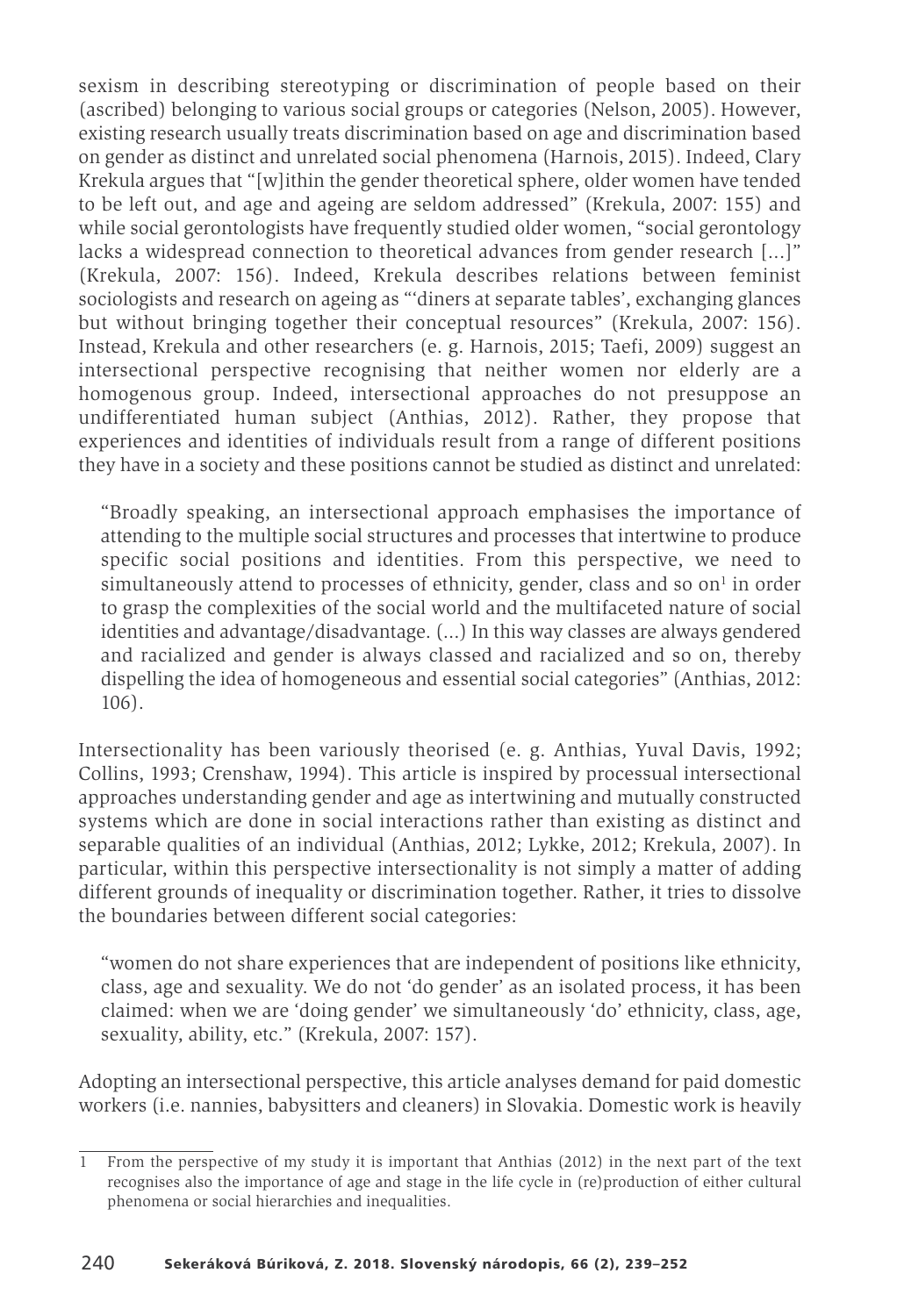sexism in describing stereotyping or discrimination of people based on their (ascribed) belonging to various social groups or categories (Nelson, 2005). However, existing research usually treats discrimination based on age and discrimination based on gender as distinct and unrelated social phenomena (Harnois, 2015). Indeed, Clary Krekula argues that "[w]ithin the gender theoretical sphere, older women have tended to be left out, and age and ageing are seldom addressed" (Krekula, 2007: 155) and while social gerontologists have frequently studied older women, "social gerontology lacks a widespread connection to theoretical advances from gender research [...]" (Krekula, 2007: 156). Indeed, Krekula describes relations between feminist sociologists and research on ageing as "'diners at separate tables', exchanging glances but without bringing together their conceptual resources" (Krekula, 2007: 156). Instead, Krekula and other researchers (e. g. Harnois, 2015; Taefi, 2009) suggest an intersectional perspective recognising that neither women nor elderly are a homogenous group. Indeed, intersectional approaches do not presuppose an undifferentiated human subject (Anthias, 2012). Rather, they propose that experiences and identities of individuals result from a range of different positions they have in a society and these positions cannot be studied as distinct and unrelated:

"Broadly speaking, an intersectional approach emphasises the importance of attending to the multiple social structures and processes that intertwine to produce specific social positions and identities. From this perspective, we need to simultaneously attend to processes of ethnicity, gender, class and so  $\text{on}^1$  in order to grasp the complexities of the social world and the multifaceted nature of social identities and advantage/disadvantage. (...) In this way classes are always gendered and racialized and gender is always classed and racialized and so on, thereby dispelling the idea of homogeneous and essential social categories" (Anthias, 2012: 106).

Intersectionality has been variously theorised (e. g. Anthias, Yuval Davis, 1992; Collins, 1993; Crenshaw, 1994). This article is inspired by processual intersectional approaches understanding gender and age as intertwining and mutually constructed systems which are done in social interactions rather than existing as distinct and separable qualities of an individual (Anthias, 2012; Lykke, 2012; Krekula, 2007). In particular, within this perspective intersectionality is not simply a matter of adding different grounds of inequality or discrimination together. Rather, it tries to dissolve the boundaries between different social categories:

"women do not share experiences that are independent of positions like ethnicity, class, age and sexuality. We do not 'do gender' as an isolated process, it has been claimed: when we are 'doing gender' we simultaneously 'do' ethnicity, class, age, sexuality, ability, etc." (Krekula, 2007: 157).

Adopting an intersectional perspective, this article analyses demand for paid domestic workers (i.e. nannies, babysitters and cleaners) in Slovakia. Domestic work is heavily

<sup>1</sup> From the perspective of my study it is important that Anthias (2012) in the next part of the text recognises also the importance of age and stage in the life cycle in (re)production of either cultural phenomena or social hierarchies and inequalities.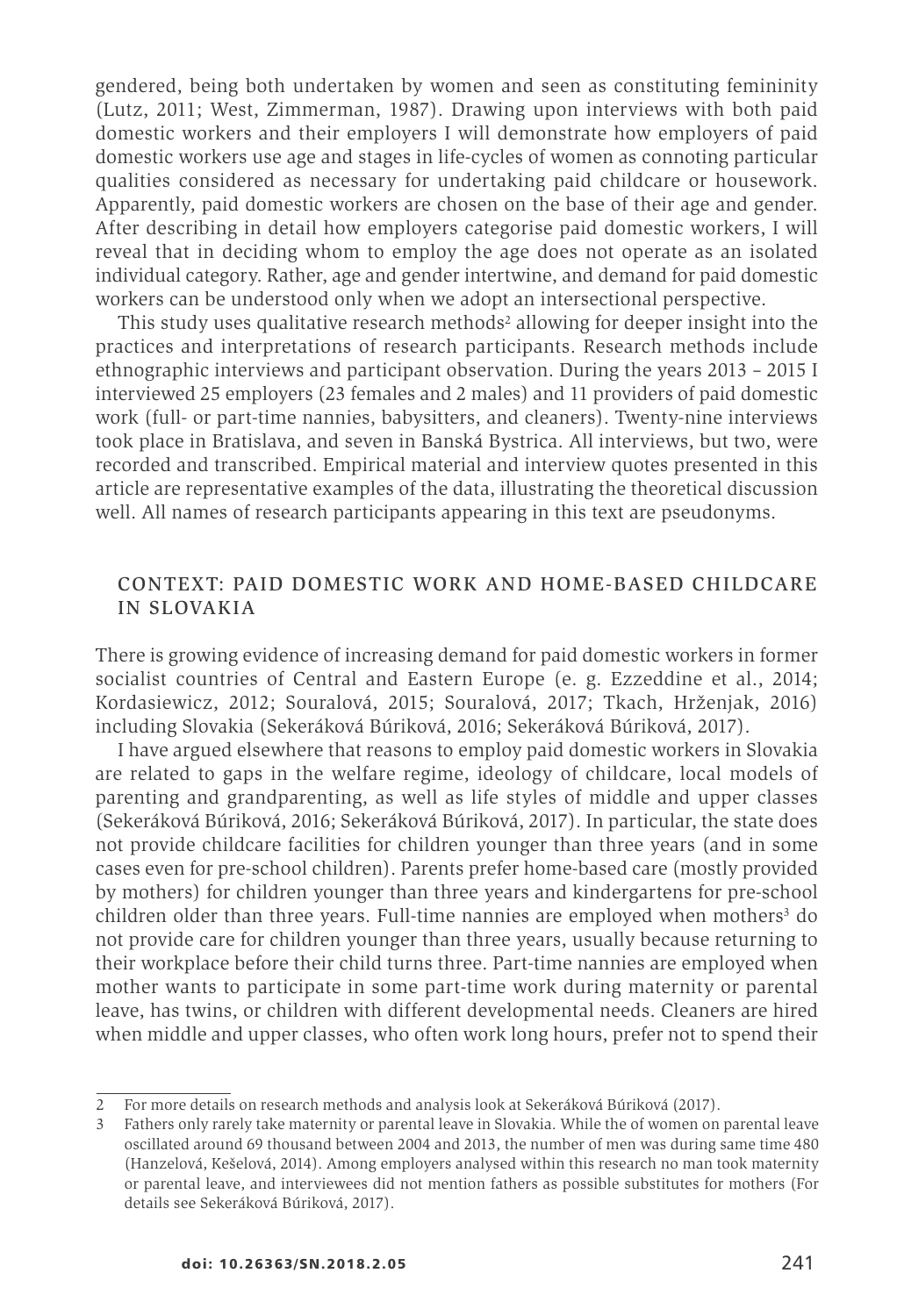gendered, being both undertaken by women and seen as constituting femininity (Lutz, 2011; West, Zimmerman, 1987). Drawing upon interviews with both paid domestic workers and their employers I will demonstrate how employers of paid domestic workers use age and stages in life-cycles of women as connoting particular qualities considered as necessary for undertaking paid childcare or housework. Apparently, paid domestic workers are chosen on the base of their age and gender. After describing in detail how employers categorise paid domestic workers, I will reveal that in deciding whom to employ the age does not operate as an isolated individual category. Rather, age and gender intertwine, and demand for paid domestic workers can be understood only when we adopt an intersectional perspective.

This study uses qualitative research methods<sup>2</sup> allowing for deeper insight into the practices and interpretations of research participants. Research methods include ethnographic interviews and participant observation. During the years 2013 – 2015 I interviewed 25 employers (23 females and 2 males) and 11 providers of paid domestic work (full- or part-time nannies, babysitters, and cleaners). Twenty-nine interviews took place in Bratislava, and seven in Banská Bystrica. All interviews, but two, were recorded and transcribed. Empirical material and interview quotes presented in this article are representative examples of the data, illustrating the theoretical discussion well. All names of research participants appearing in this text are pseudonyms.

## CONTEXT: PAID DOMESTIC WORK AND HOME-BASED CHILDCARE IN SLOVAKIA

There is growing evidence of increasing demand for paid domestic workers in former socialist countries of Central and Eastern Europe (e. g. Ezzeddine et al., 2014; Kordasiewicz, 2012; Souralová, 2015; Souralová, 2017; Tkach, Hrženjak, 2016) including Slovakia (Sekeráková Búriková, 2016; Sekeráková Búriková, 2017).

I have argued elsewhere that reasons to employ paid domestic workers in Slovakia are related to gaps in the welfare regime, ideology of childcare, local models of parenting and grandparenting, as well as life styles of middle and upper classes (Sekeráková Búriková, 2016; Sekeráková Búriková, 2017). In particular, the state does not provide childcare facilities for children younger than three years (and in some cases even for pre-school children). Parents prefer home-based care (mostly provided by mothers) for children younger than three years and kindergartens for pre-school children older than three years. Full-time nannies are employed when mothers<sup>3</sup> do not provide care for children younger than three years, usually because returning to their workplace before their child turns three. Part-time nannies are employed when mother wants to participate in some part-time work during maternity or parental leave, has twins, or children with different developmental needs. Cleaners are hired when middle and upper classes, who often work long hours, prefer not to spend their

<sup>2</sup> For more details on research methods and analysis look at Sekeráková Búriková (2017).

<sup>3</sup> Fathers only rarely take maternity or parental leave in Slovakia. While the of women on parental leave oscillated around 69 thousand between 2004 and 2013, the number of men was during same time 480 (Hanzelová, Kešelová, 2014). Among employers analysed within this research no man took maternity or parental leave, and interviewees did not mention fathers as possible substitutes for mothers (For details see Sekeráková Búriková, 2017).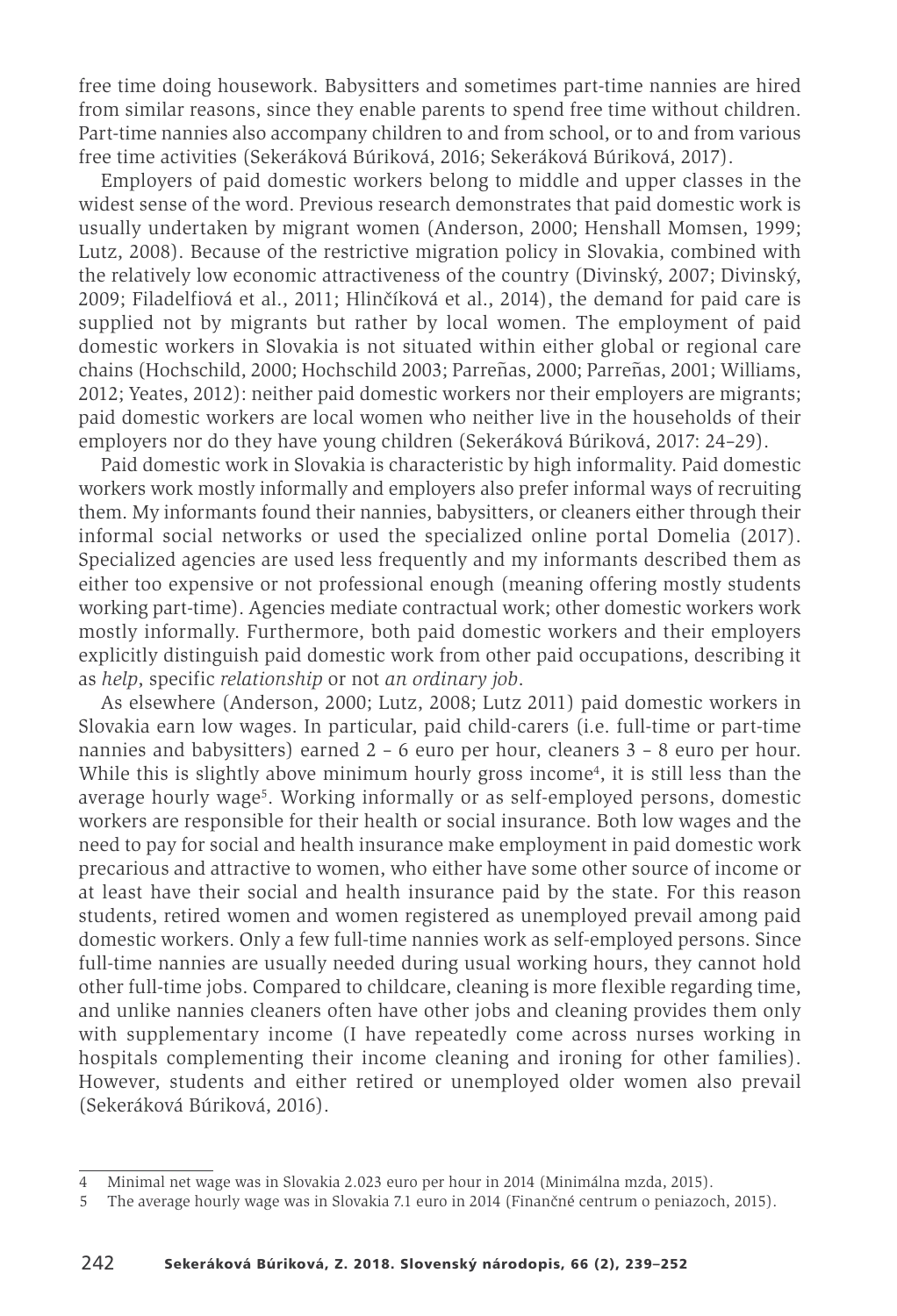free time doing housework. Babysitters and sometimes part-time nannies are hired from similar reasons, since they enable parents to spend free time without children. Part-time nannies also accompany children to and from school, or to and from various free time activities (Sekeráková Búriková, 2016; Sekeráková Búriková, 2017).

Employers of paid domestic workers belong to middle and upper classes in the widest sense of the word. Previous research demonstrates that paid domestic work is usually undertaken by migrant women (Anderson, 2000; Henshall Momsen, 1999; Lutz, 2008). Because of the restrictive migration policy in Slovakia, combined with the relatively low economic attractiveness of the country (Divinský, 2007; Divinský, 2009; Filadelfiová et al., 2011; Hlinčíková et al., 2014), the demand for paid care is supplied not by migrants but rather by local women. The employment of paid domestic workers in Slovakia is not situated within either global or regional care chains (Hochschild, 2000; Hochschild 2003; Parreñas, 2000; Parreñas, 2001; Williams, 2012; Yeates, 2012): neither paid domestic workers nor their employers are migrants; paid domestic workers are local women who neither live in the households of their employers nor do they have young children (Sekeráková Búriková, 2017: 24–29).

Paid domestic work in Slovakia is characteristic by high informality. Paid domestic workers work mostly informally and employers also prefer informal ways of recruiting them. My informants found their nannies, babysitters, or cleaners either through their informal social networks or used the specialized online portal Domelia (2017). Specialized agencies are used less frequently and my informants described them as either too expensive or not professional enough (meaning offering mostly students working part-time). Agencies mediate contractual work; other domestic workers work mostly informally. Furthermore, both paid domestic workers and their employers explicitly distinguish paid domestic work from other paid occupations, describing it as *help*, specific *relationship* or not *an ordinary job*.

As elsewhere (Anderson, 2000; Lutz, 2008; Lutz 2011) paid domestic workers in Slovakia earn low wages. In particular, paid child-carers (i.e. full-time or part-time nannies and babysitters) earned 2 – 6 euro per hour, cleaners 3 – 8 euro per hour. While this is slightly above minimum hourly gross income4, it is still less than the average hourly wage5. Working informally or as self-employed persons, domestic workers are responsible for their health or social insurance. Both low wages and the need to pay for social and health insurance make employment in paid domestic work precarious and attractive to women, who either have some other source of income or at least have their social and health insurance paid by the state. For this reason students, retired women and women registered as unemployed prevail among paid domestic workers. Only a few full-time nannies work as self-employed persons. Since full-time nannies are usually needed during usual working hours, they cannot hold other full-time jobs. Compared to childcare, cleaning is more flexible regarding time, and unlike nannies cleaners often have other jobs and cleaning provides them only with supplementary income (I have repeatedly come across nurses working in hospitals complementing their income cleaning and ironing for other families). However, students and either retired or unemployed older women also prevail (Sekeráková Búriková, 2016).

<sup>4</sup> Minimal net wage was in Slovakia 2.023 euro per hour in 2014 (Minimálna mzda, 2015).

<sup>5</sup> The average hourly wage was in Slovakia 7.1 euro in 2014 (Finančné centrum o peniazoch, 2015).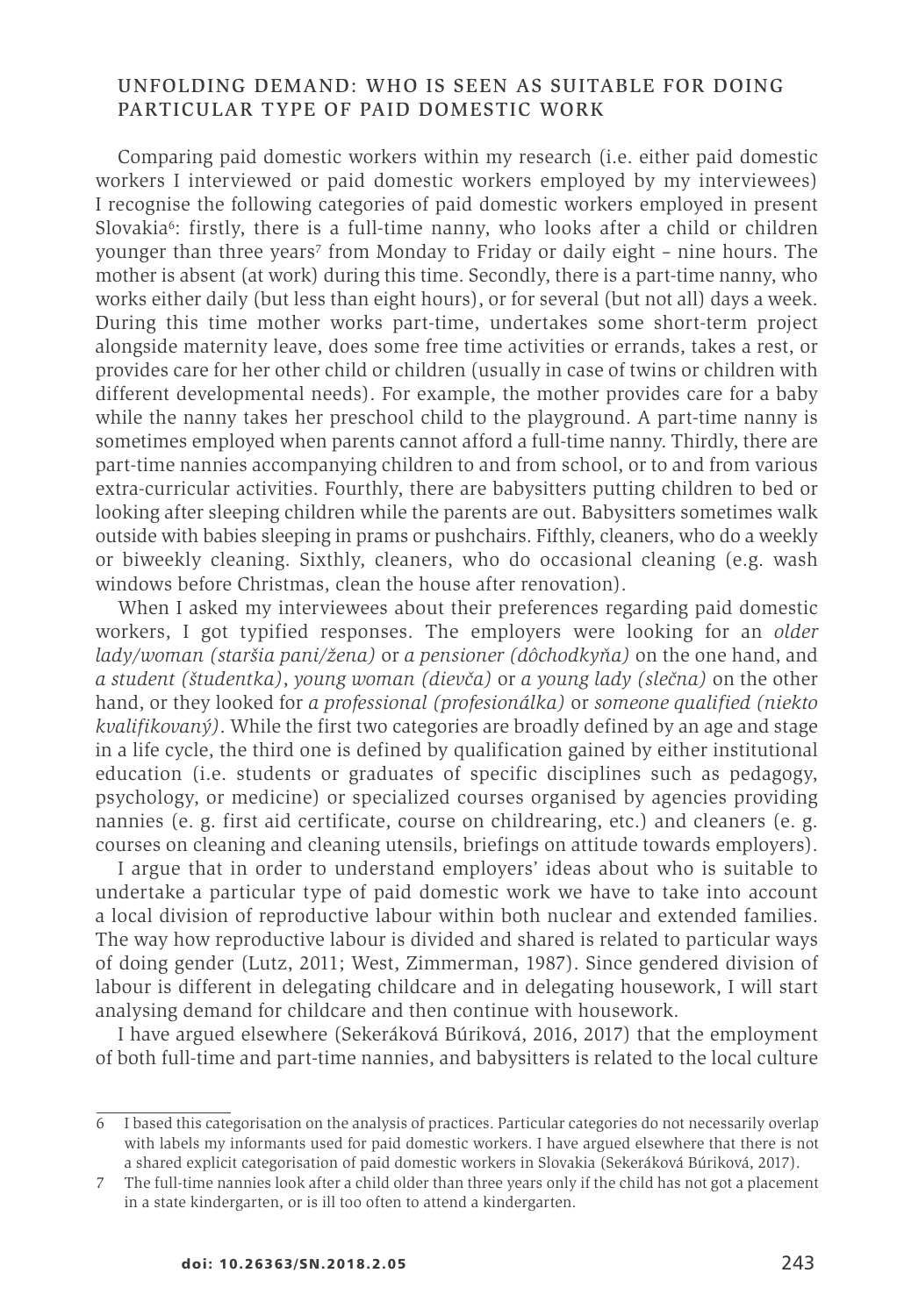#### UNFOLDING DEMAND: WHO IS SEEN AS SUITABLE FOR DOING PARTICULAR TYPE OF PAID DOMESTIC WORK

Comparing paid domestic workers within my research (i.e. either paid domestic workers I interviewed or paid domestic workers employed by my interviewees) I recognise the following categories of paid domestic workers employed in present Slovakia $6$ : firstly, there is a full-time nanny, who looks after a child or children younger than three years<sup>7</sup> from Monday to Friday or daily eight – nine hours. The mother is absent (at work) during this time. Secondly, there is a part-time nanny, who works either daily (but less than eight hours), or for several (but not all) days a week. During this time mother works part-time, undertakes some short-term project alongside maternity leave, does some free time activities or errands, takes a rest, or provides care for her other child or children (usually in case of twins or children with different developmental needs). For example, the mother provides care for a baby while the nanny takes her preschool child to the playground. A part-time nanny is sometimes employed when parents cannot afford a full-time nanny. Thirdly, there are part-time nannies accompanying children to and from school, or to and from various extra-curricular activities. Fourthly, there are babysitters putting children to bed or looking after sleeping children while the parents are out. Babysitters sometimes walk outside with babies sleeping in prams or pushchairs. Fifthly, cleaners, who do a weekly or biweekly cleaning. Sixthly, cleaners, who do occasional cleaning (e.g. wash windows before Christmas, clean the house after renovation).

When I asked my interviewees about their preferences regarding paid domestic workers, I got typified responses. The employers were looking for an *older lady/woman (staršia pani/žena)* or *a pensioner (dôchodkyňa)* on the one hand, and *a student (študentka)*, *young woman (dievča)* or *a young lady (slečna)* on the other hand, or they looked for *a professional (profesionálka)* or *someone qualified (niekto kvalifikovaný)*. While the first two categories are broadly defined by an age and stage in a life cycle, the third one is defined by qualification gained by either institutional education (i.e. students or graduates of specific disciplines such as pedagogy, psychology, or medicine) or specialized courses organised by agencies providing nannies (e. g. first aid certificate, course on childrearing, etc.) and cleaners (e. g. courses on cleaning and cleaning utensils, briefings on attitude towards employers).

I argue that in order to understand employers' ideas about who is suitable to undertake a particular type of paid domestic work we have to take into account a local division of reproductive labour within both nuclear and extended families. The way how reproductive labour is divided and shared is related to particular ways of doing gender (Lutz, 2011; West, Zimmerman, 1987). Since gendered division of labour is different in delegating childcare and in delegating housework, I will start analysing demand for childcare and then continue with housework.

I have argued elsewhere (Sekeráková Búriková, 2016, 2017) that the employment of both full-time and part-time nannies, and babysitters is related to the local culture

<sup>6</sup> I based this categorisation on the analysis of practices. Particular categories do not necessarily overlap with labels my informants used for paid domestic workers. I have argued elsewhere that there is not a shared explicit categorisation of paid domestic workers in Slovakia (Sekeráková Búriková, 2017).

<sup>7</sup> The full-time nannies look after a child older than three years only if the child has not got a placement in a state kindergarten, or is ill too often to attend a kindergarten.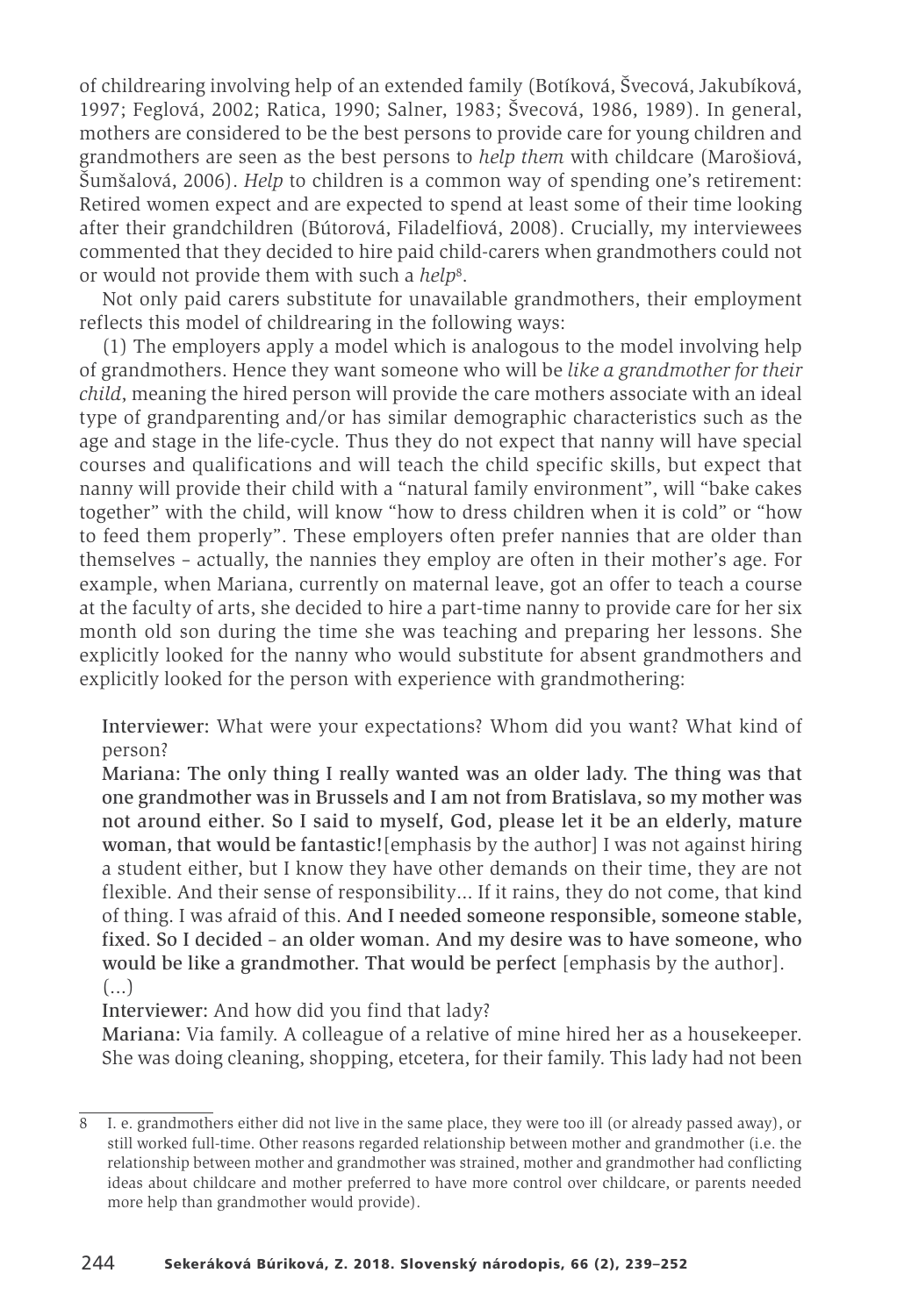of childrearing involving help of an extended family (Botíková, Švecová, Jakubíková, 1997; Feglová, 2002; Ratica, 1990; Salner, 1983; Švecová, 1986, 1989). In general, mothers are considered to be the best persons to provide care for young children and grandmothers are seen as the best persons to *help them* with childcare (Marošiová, Šumšalová, 2006). *Help* to children is a common way of spending one's retirement: Retired women expect and are expected to spend at least some of their time looking after their grandchildren (Bútorová, Filadelfiová, 2008). Crucially, my interviewees commented that they decided to hire paid child-carers when grandmothers could not or would not provide them with such a *help*8.

Not only paid carers substitute for unavailable grandmothers, their employment reflects this model of childrearing in the following ways:

(1) The employers apply a model which is analogous to the model involving help of grandmothers. Hence they want someone who will be *like a grandmother for their child*, meaning the hired person will provide the care mothers associate with an ideal type of grandparenting and/or has similar demographic characteristics such as the age and stage in the life-cycle. Thus they do not expect that nanny will have special courses and qualifications and will teach the child specific skills, but expect that nanny will provide their child with a "natural family environment", will "bake cakes together" with the child, will know "how to dress children when it is cold" or "how to feed them properly". These employers often prefer nannies that are older than themselves – actually, the nannies they employ are often in their mother's age. For example, when Mariana, currently on maternal leave, got an offer to teach a course at the faculty of arts, she decided to hire a part-time nanny to provide care for her six month old son during the time she was teaching and preparing her lessons. She explicitly looked for the nanny who would substitute for absent grandmothers and explicitly looked for the person with experience with grandmothering:

Interviewer: What were your expectations? Whom did you want? What kind of person?

Mariana: The only thing I really wanted was an older lady. The thing was that one grandmother was in Brussels and I am not from Bratislava, so my mother was not around either. So I said to myself, God, please let it be an elderly, mature woman, that would be fantastic![emphasis by the author] I was not against hiring a student either, but I know they have other demands on their time, they are not flexible. And their sense of responsibility… If it rains, they do not come, that kind of thing. I was afraid of this. And I needed someone responsible, someone stable, fixed. So I decided – an older woman. And my desire was to have someone, who would be like a grandmother. That would be perfect [emphasis by the author]. (...)

Interviewer: And how did you find that lady?

Mariana: Via family. A colleague of a relative of mine hired her as a housekeeper. She was doing cleaning, shopping, etcetera, for their family. This lady had not been

<sup>8</sup> I. e. grandmothers either did not live in the same place, they were too ill (or already passed away), or still worked full-time. Other reasons regarded relationship between mother and grandmother (i.e. the relationship between mother and grandmother was strained, mother and grandmother had conflicting ideas about childcare and mother preferred to have more control over childcare, or parents needed more help than grandmother would provide).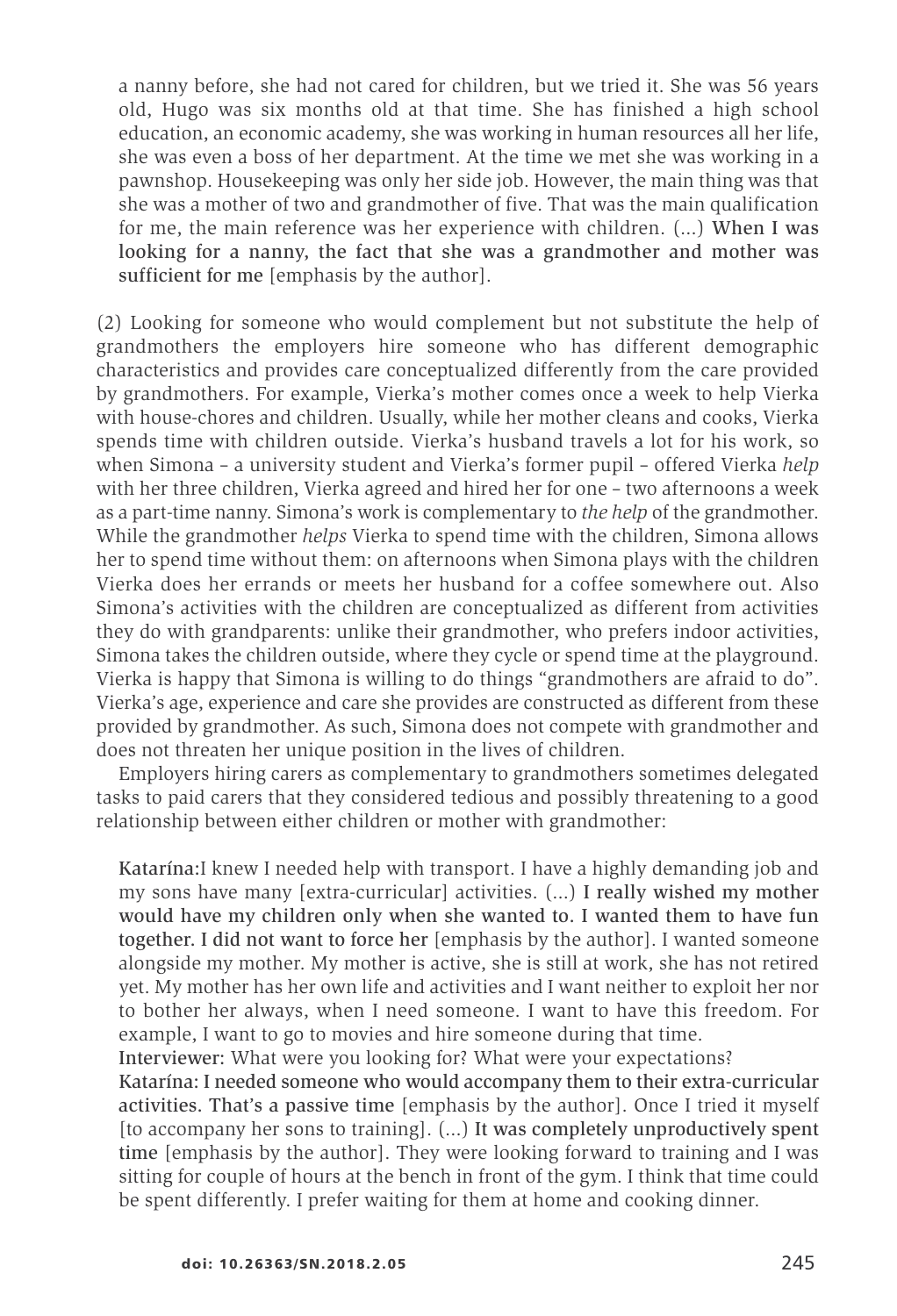a nanny before, she had not cared for children, but we tried it. She was 56 years old, Hugo was six months old at that time. She has finished a high school education, an economic academy, she was working in human resources all her life, she was even a boss of her department. At the time we met she was working in a pawnshop. Housekeeping was only her side job. However, the main thing was that she was a mother of two and grandmother of five. That was the main qualification for me, the main reference was her experience with children. (…) When I was looking for a nanny, the fact that she was a grandmother and mother was sufficient for me [emphasis by the author].

(2) Looking for someone who would complement but not substitute the help of grandmothers the employers hire someone who has different demographic characteristics and provides care conceptualized differently from the care provided by grandmothers. For example, Vierka's mother comes once a week to help Vierka with house-chores and children. Usually, while her mother cleans and cooks, Vierka spends time with children outside. Vierka's husband travels a lot for his work, so when Simona – a university student and Vierka's former pupil – offered Vierka *help* with her three children, Vierka agreed and hired her for one – two afternoons a week as a part-time nanny. Simona's work is complementary to *the help* of the grandmother. While the grandmother *helps* Vierka to spend time with the children, Simona allows her to spend time without them: on afternoons when Simona plays with the children Vierka does her errands or meets her husband for a coffee somewhere out. Also Simona's activities with the children are conceptualized as different from activities they do with grandparents: unlike their grandmother, who prefers indoor activities, Simona takes the children outside, where they cycle or spend time at the playground. Vierka is happy that Simona is willing to do things "grandmothers are afraid to do". Vierka's age, experience and care she provides are constructed as different from these provided by grandmother. As such, Simona does not compete with grandmother and does not threaten her unique position in the lives of children.

Employers hiring carers as complementary to grandmothers sometimes delegated tasks to paid carers that they considered tedious and possibly threatening to a good relationship between either children or mother with grandmother:

Katarína:I knew I needed help with transport. I have a highly demanding job and my sons have many [extra-curricular] activities. (…) I really wished my mother would have my children only when she wanted to. I wanted them to have fun together. I did not want to force her [emphasis by the author]. I wanted someone alongside my mother. My mother is active, she is still at work, she has not retired yet. My mother has her own life and activities and I want neither to exploit her nor to bother her always, when I need someone. I want to have this freedom. For example, I want to go to movies and hire someone during that time.

Interviewer: What were you looking for? What were your expectations?

Katarína: I needed someone who would accompany them to their extra-curricular activities. That's a passive time [emphasis by the author]. Once I tried it myself [to accompany her sons to training]. (…) It was completely unproductively spent time [emphasis by the author]. They were looking forward to training and I was sitting for couple of hours at the bench in front of the gym. I think that time could be spent differently. I prefer waiting for them at home and cooking dinner.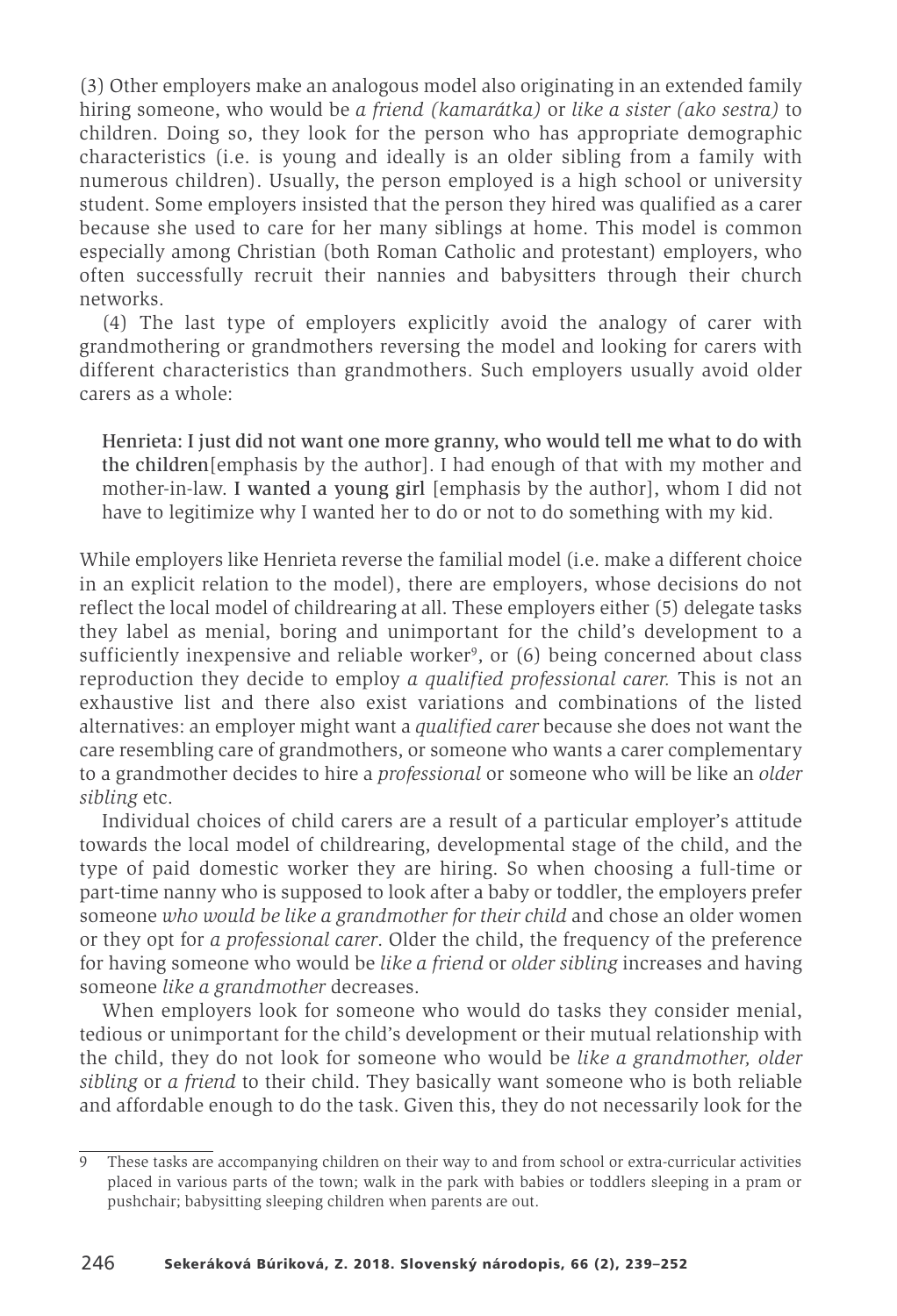(3) Other employers make an analogous model also originating in an extended family hiring someone, who would be *a friend (kamarátka)* or *like a sister (ako sestra)* to children. Doing so, they look for the person who has appropriate demographic characteristics (i.e. is young and ideally is an older sibling from a family with numerous children). Usually, the person employed is a high school or university student. Some employers insisted that the person they hired was qualified as a carer because she used to care for her many siblings at home. This model is common especially among Christian (both Roman Catholic and protestant) employers, who often successfully recruit their nannies and babysitters through their church networks.

(4) The last type of employers explicitly avoid the analogy of carer with grandmothering or grandmothers reversing the model and looking for carers with different characteristics than grandmothers. Such employers usually avoid older carers as a whole:

Henrieta: I just did not want one more granny, who would tell me what to do with the children[emphasis by the author]. I had enough of that with my mother and mother-in-law. I wanted a young girl [emphasis by the author], whom I did not have to legitimize why I wanted her to do or not to do something with my kid.

While employers like Henrieta reverse the familial model (i.e. make a different choice in an explicit relation to the model), there are employers, whose decisions do not reflect the local model of childrearing at all. These employers either (5) delegate tasks they label as menial, boring and unimportant for the child's development to a sufficiently inexpensive and reliable worker<sup>9</sup>, or (6) being concerned about class reproduction they decide to employ *a qualified professional carer.* This is not an exhaustive list and there also exist variations and combinations of the listed alternatives: an employer might want a *qualified carer* because she does not want the care resembling care of grandmothers, or someone who wants a carer complementary to a grandmother decides to hire a *professional* or someone who will be like an *older sibling* etc.

Individual choices of child carers are a result of a particular employer's attitude towards the local model of childrearing, developmental stage of the child, and the type of paid domestic worker they are hiring. So when choosing a full-time or part-time nanny who is supposed to look after a baby or toddler, the employers prefer someone *who would be like a grandmother for their child* and chose an older women or they opt for *a professional carer*. Older the child, the frequency of the preference for having someone who would be *like a friend* or *older sibling* increases and having someone *like a grandmother* decreases.

When employers look for someone who would do tasks they consider menial, tedious or unimportant for the child's development or their mutual relationship with the child, they do not look for someone who would be *like a grandmother, older sibling* or *a friend* to their child. They basically want someone who is both reliable and affordable enough to do the task. Given this, they do not necessarily look for the

<sup>9</sup> These tasks are accompanying children on their way to and from school or extra-curricular activities placed in various parts of the town; walk in the park with babies or toddlers sleeping in a pram or pushchair; babysitting sleeping children when parents are out.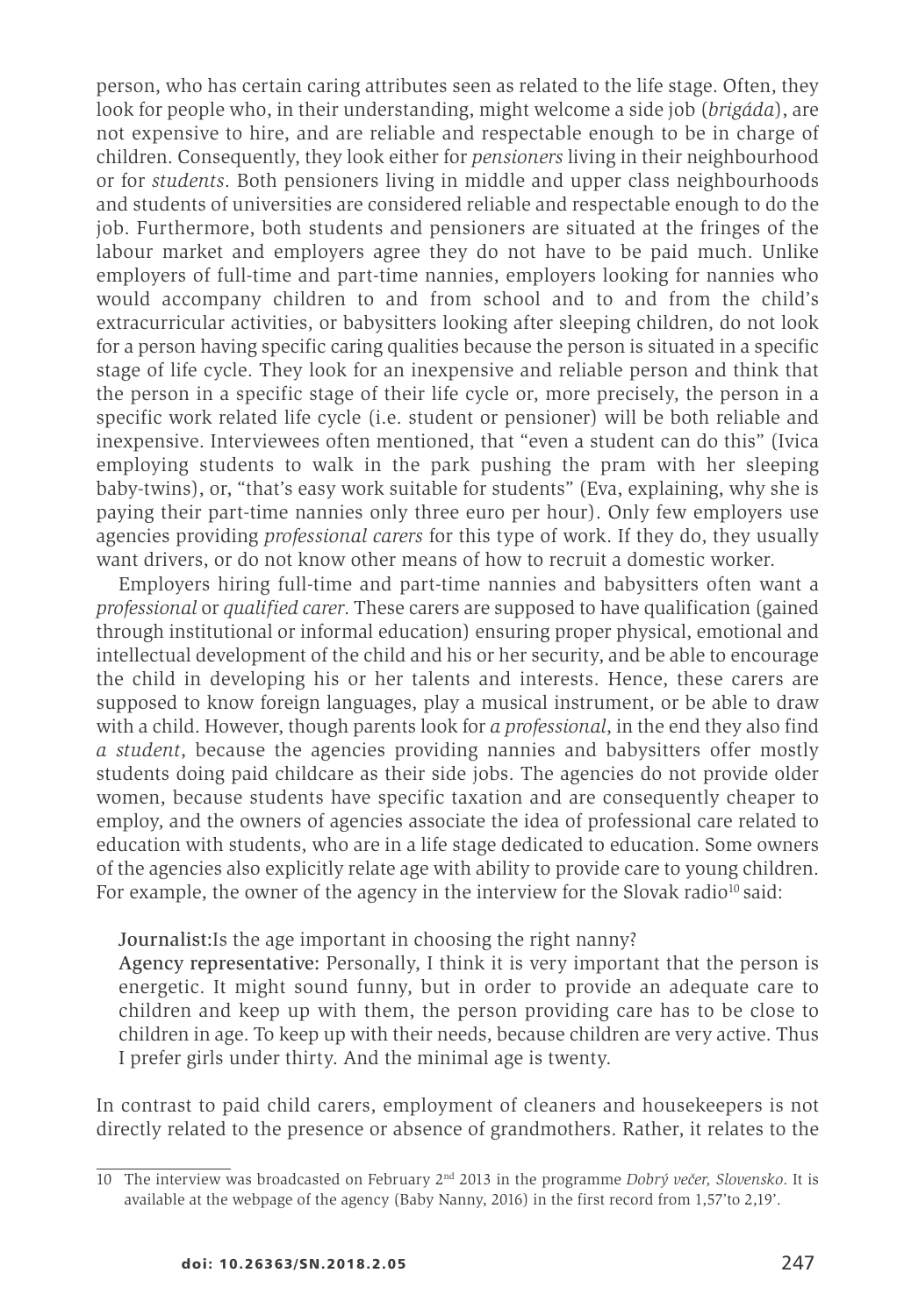person, who has certain caring attributes seen as related to the life stage. Often, they look for people who, in their understanding, might welcome a side job (*brigáda*), are not expensive to hire, and are reliable and respectable enough to be in charge of children. Consequently, they look either for *pensioners* living in their neighbourhood or for *students*. Both pensioners living in middle and upper class neighbourhoods and students of universities are considered reliable and respectable enough to do the job. Furthermore, both students and pensioners are situated at the fringes of the labour market and employers agree they do not have to be paid much. Unlike employers of full-time and part-time nannies, employers looking for nannies who would accompany children to and from school and to and from the child's extracurricular activities, or babysitters looking after sleeping children, do not look for a person having specific caring qualities because the person is situated in a specific stage of life cycle. They look for an inexpensive and reliable person and think that the person in a specific stage of their life cycle or, more precisely, the person in a specific work related life cycle (i.e. student or pensioner) will be both reliable and inexpensive. Interviewees often mentioned, that "even a student can do this" (Ivica employing students to walk in the park pushing the pram with her sleeping baby-twins), or, "that's easy work suitable for students" (Eva, explaining, why she is paying their part-time nannies only three euro per hour). Only few employers use agencies providing *professional carers* for this type of work. If they do, they usually want drivers, or do not know other means of how to recruit a domestic worker.

Employers hiring full-time and part-time nannies and babysitters often want a *professional* or *qualified carer*. These carers are supposed to have qualification (gained through institutional or informal education) ensuring proper physical, emotional and intellectual development of the child and his or her security, and be able to encourage the child in developing his or her talents and interests. Hence, these carers are supposed to know foreign languages, play a musical instrument, or be able to draw with a child. However, though parents look for *a professional*, in the end they also find *a student*, because the agencies providing nannies and babysitters offer mostly students doing paid childcare as their side jobs. The agencies do not provide older women, because students have specific taxation and are consequently cheaper to employ, and the owners of agencies associate the idea of professional care related to education with students, who are in a life stage dedicated to education. Some owners of the agencies also explicitly relate age with ability to provide care to young children. For example, the owner of the agency in the interview for the Slovak radio<sup>10</sup> said:

#### Journalist:Is the age important in choosing the right nanny?

Agency representative: Personally, I think it is very important that the person is energetic. It might sound funny, but in order to provide an adequate care to children and keep up with them, the person providing care has to be close to children in age. To keep up with their needs, because children are very active. Thus I prefer girls under thirty. And the minimal age is twenty.

In contrast to paid child carers, employment of cleaners and housekeepers is not directly related to the presence or absence of grandmothers. Rather, it relates to the

<sup>10</sup> The interview was broadcasted on February 2nd 2013 in the programme *Dobrý večer, Slovensko*. It is available at the webpage of the agency (Baby Nanny, 2016) in the first record from 1,57'to 2,19'.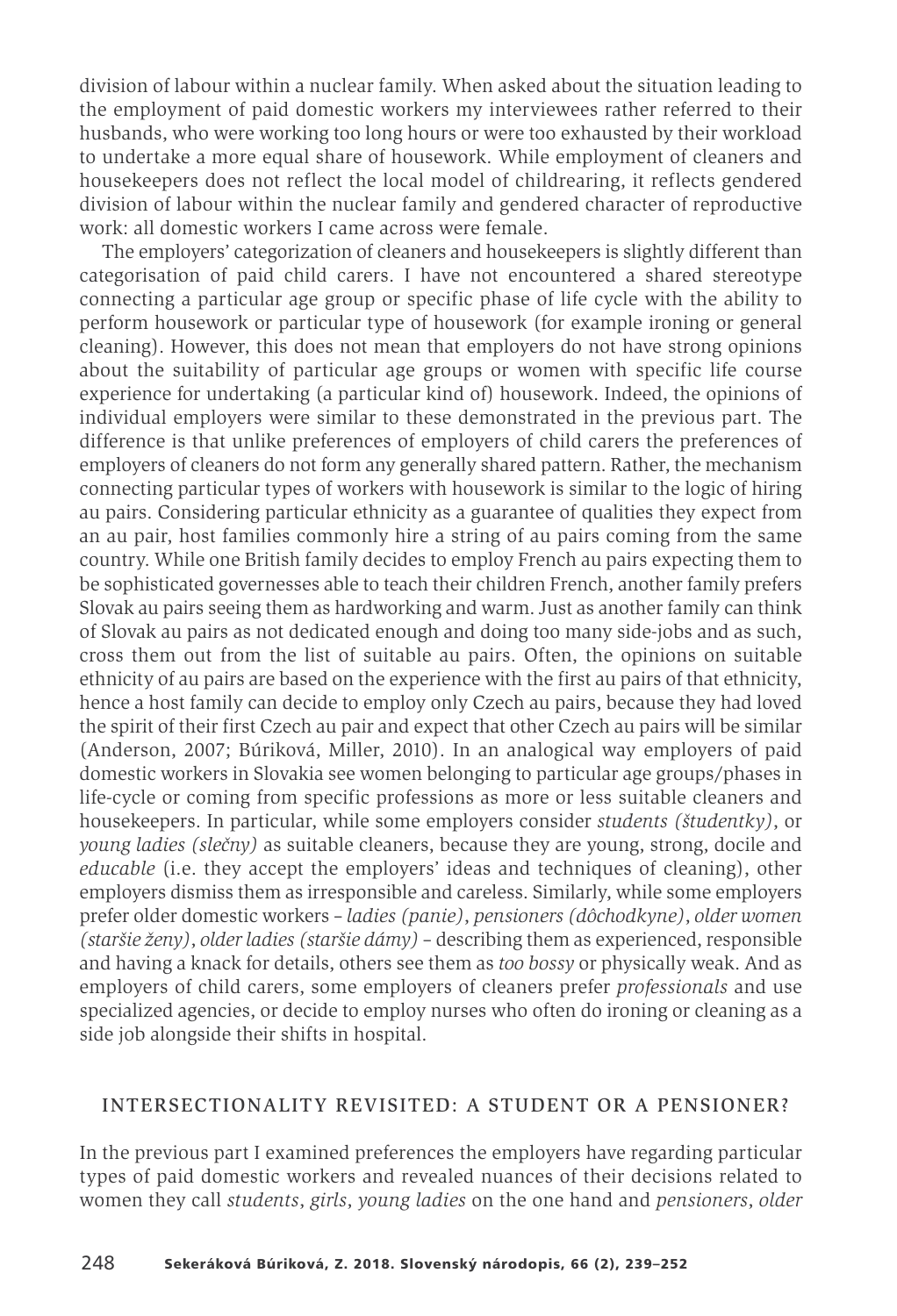division of labour within a nuclear family. When asked about the situation leading to the employment of paid domestic workers my interviewees rather referred to their husbands, who were working too long hours or were too exhausted by their workload to undertake a more equal share of housework. While employment of cleaners and housekeepers does not reflect the local model of childrearing, it reflects gendered division of labour within the nuclear family and gendered character of reproductive work: all domestic workers I came across were female.

The employers' categorization of cleaners and housekeepers is slightly different than categorisation of paid child carers. I have not encountered a shared stereotype connecting a particular age group or specific phase of life cycle with the ability to perform housework or particular type of housework (for example ironing or general cleaning). However, this does not mean that employers do not have strong opinions about the suitability of particular age groups or women with specific life course experience for undertaking (a particular kind of) housework. Indeed, the opinions of individual employers were similar to these demonstrated in the previous part. The difference is that unlike preferences of employers of child carers the preferences of employers of cleaners do not form any generally shared pattern. Rather, the mechanism connecting particular types of workers with housework is similar to the logic of hiring au pairs. Considering particular ethnicity as a guarantee of qualities they expect from an au pair, host families commonly hire a string of au pairs coming from the same country. While one British family decides to employ French au pairs expecting them to be sophisticated governesses able to teach their children French, another family prefers Slovak au pairs seeing them as hardworking and warm. Just as another family can think of Slovak au pairs as not dedicated enough and doing too many side-jobs and as such, cross them out from the list of suitable au pairs. Often, the opinions on suitable ethnicity of au pairs are based on the experience with the first au pairs of that ethnicity, hence a host family can decide to employ only Czech au pairs, because they had loved the spirit of their first Czech au pair and expect that other Czech au pairs will be similar (Anderson, 2007; Búriková, Miller, 2010). In an analogical way employers of paid domestic workers in Slovakia see women belonging to particular age groups/phases in life-cycle or coming from specific professions as more or less suitable cleaners and housekeepers. In particular, while some employers consider *students (študentky)*, or *young ladies (slečny)* as suitable cleaners, because they are young, strong, docile and *educable* (i.e. they accept the employers' ideas and techniques of cleaning), other employers dismiss them as irresponsible and careless. Similarly, while some employers prefer older domestic workers – *ladies (panie)*, *pensioners (dôchodkyne)*, *older women (staršie ženy)*, *older ladies (staršie dámy)* – describing them as experienced, responsible and having a knack for details, others see them as *too bossy* or physically weak. And as employers of child carers, some employers of cleaners prefer *professionals* and use specialized agencies, or decide to employ nurses who often do ironing or cleaning as a side job alongside their shifts in hospital.

### INTERSECTIONALITY REVISITED: A STUDENT OR A PENSIONER?

In the previous part I examined preferences the employers have regarding particular types of paid domestic workers and revealed nuances of their decisions related to women they call *students*, *girls*, *young ladies* on the one hand and *pensioners*, *older*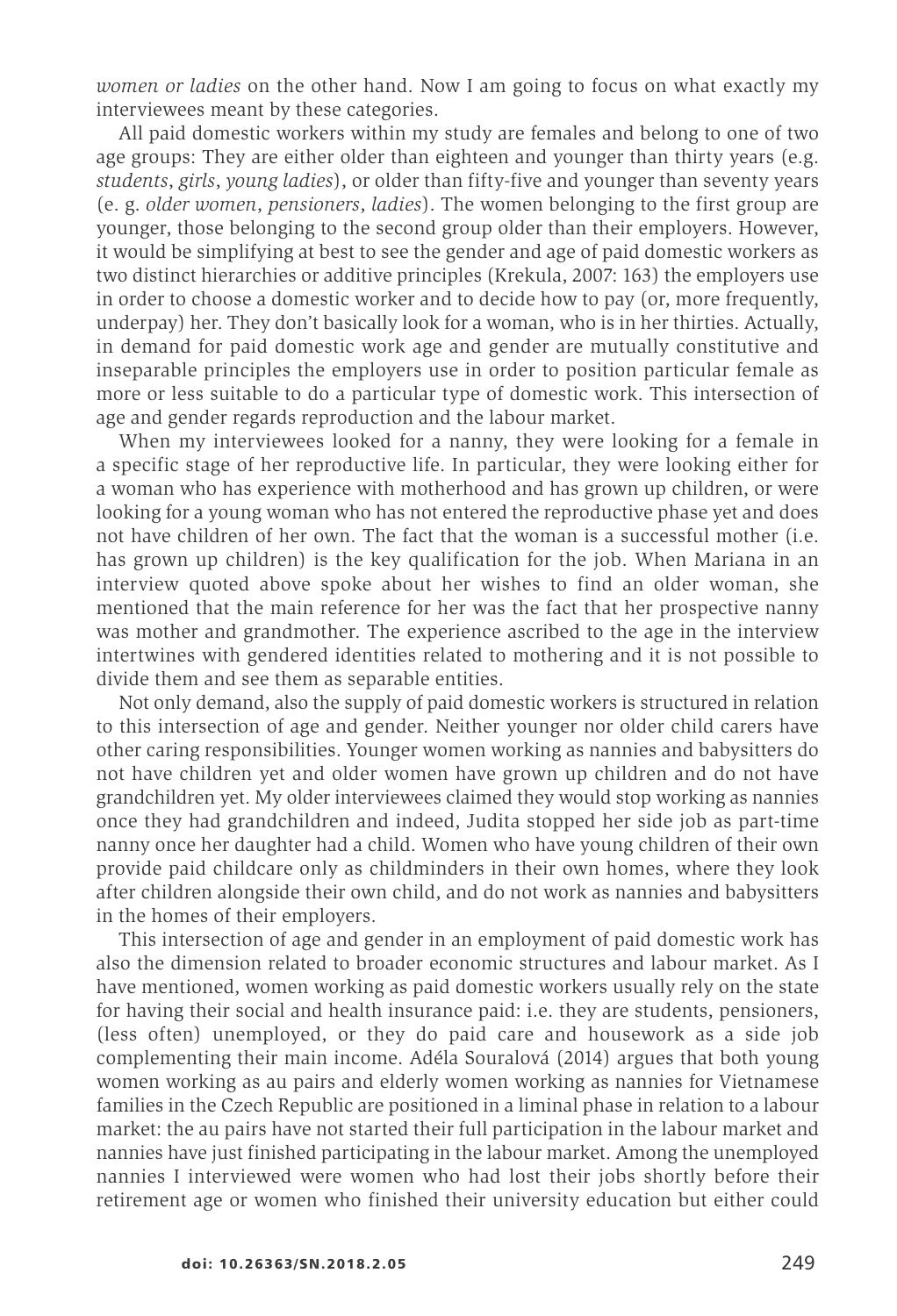*women or ladies* on the other hand. Now I am going to focus on what exactly my interviewees meant by these categories.

All paid domestic workers within my study are females and belong to one of two age groups: They are either older than eighteen and younger than thirty years (e.g. *students*, *girls*, *young ladies*), or older than fifty-five and younger than seventy years (e. g. *older women*, *pensioners*, *ladies*). The women belonging to the first group are younger, those belonging to the second group older than their employers. However, it would be simplifying at best to see the gender and age of paid domestic workers as two distinct hierarchies or additive principles (Krekula, 2007: 163) the employers use in order to choose a domestic worker and to decide how to pay (or, more frequently, underpay) her. They don't basically look for a woman, who is in her thirties. Actually, in demand for paid domestic work age and gender are mutually constitutive and inseparable principles the employers use in order to position particular female as more or less suitable to do a particular type of domestic work. This intersection of age and gender regards reproduction and the labour market.

When my interviewees looked for a nanny, they were looking for a female in a specific stage of her reproductive life. In particular, they were looking either for a woman who has experience with motherhood and has grown up children, or were looking for a young woman who has not entered the reproductive phase yet and does not have children of her own. The fact that the woman is a successful mother (i.e. has grown up children) is the key qualification for the job. When Mariana in an interview quoted above spoke about her wishes to find an older woman, she mentioned that the main reference for her was the fact that her prospective nanny was mother and grandmother. The experience ascribed to the age in the interview intertwines with gendered identities related to mothering and it is not possible to divide them and see them as separable entities.

Not only demand, also the supply of paid domestic workers is structured in relation to this intersection of age and gender. Neither younger nor older child carers have other caring responsibilities. Younger women working as nannies and babysitters do not have children yet and older women have grown up children and do not have grandchildren yet. My older interviewees claimed they would stop working as nannies once they had grandchildren and indeed, Judita stopped her side job as part-time nanny once her daughter had a child. Women who have young children of their own provide paid childcare only as childminders in their own homes, where they look after children alongside their own child, and do not work as nannies and babysitters in the homes of their employers.

This intersection of age and gender in an employment of paid domestic work has also the dimension related to broader economic structures and labour market. As I have mentioned, women working as paid domestic workers usually rely on the state for having their social and health insurance paid: i.e. they are students, pensioners, (less often) unemployed, or they do paid care and housework as a side job complementing their main income. Adéla Souralová (2014) argues that both young women working as au pairs and elderly women working as nannies for Vietnamese families in the Czech Republic are positioned in a liminal phase in relation to a labour market: the au pairs have not started their full participation in the labour market and nannies have just finished participating in the labour market. Among the unemployed nannies I interviewed were women who had lost their jobs shortly before their retirement age or women who finished their university education but either could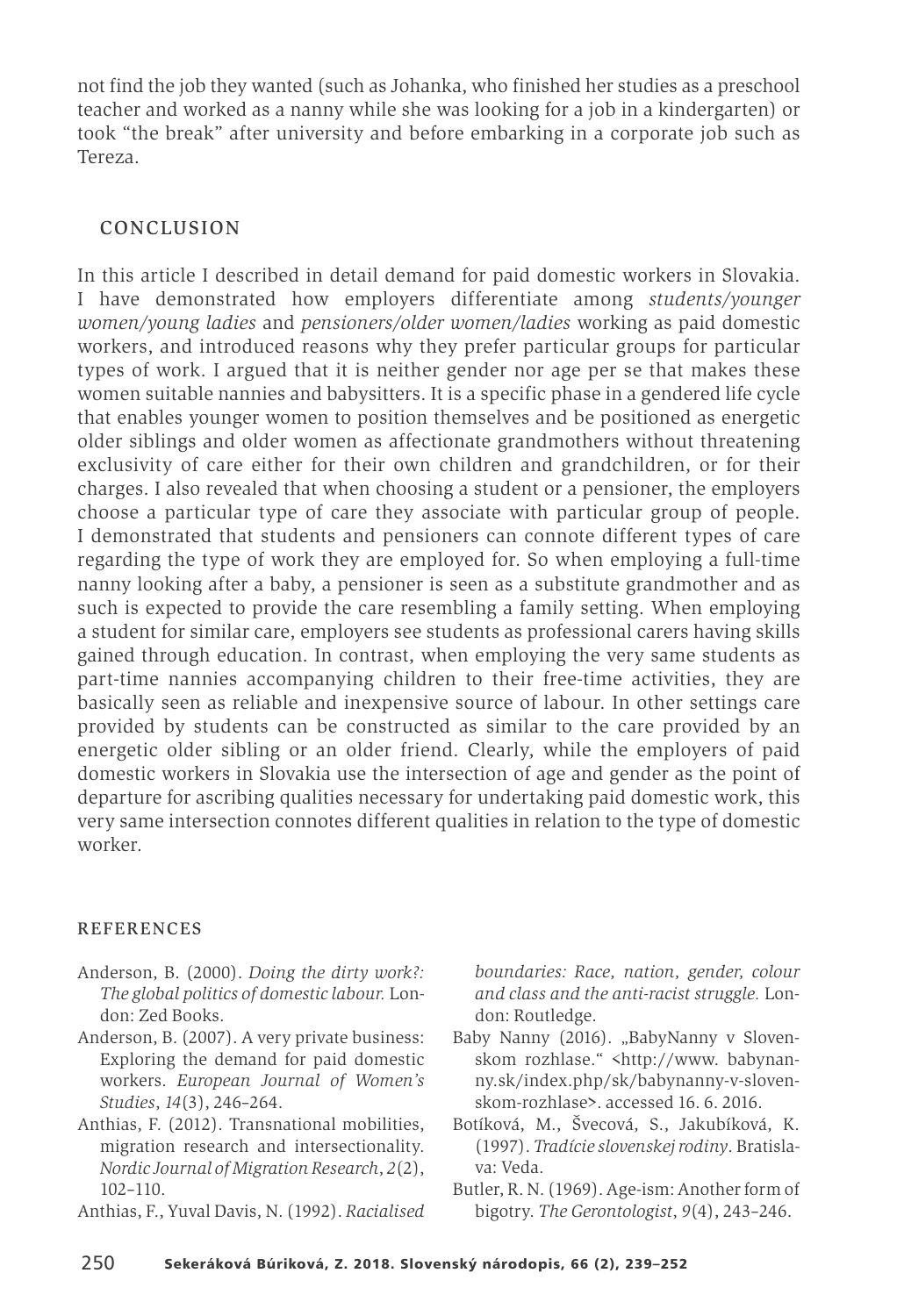not find the job they wanted (such as Johanka, who finished her studies as a preschool teacher and worked as a nanny while she was looking for a job in a kindergarten) or took "the break" after university and before embarking in a corporate job such as Tereza.

#### CONCLUSION

In this article I described in detail demand for paid domestic workers in Slovakia. I have demonstrated how employers differentiate among *students/younger women/young ladies* and *pensioners/older women/ladies* working as paid domestic workers, and introduced reasons why they prefer particular groups for particular types of work. I argued that it is neither gender nor age per se that makes these women suitable nannies and babysitters. It is a specific phase in a gendered life cycle that enables younger women to position themselves and be positioned as energetic older siblings and older women as affectionate grandmothers without threatening exclusivity of care either for their own children and grandchildren, or for their charges. I also revealed that when choosing a student or a pensioner, the employers choose a particular type of care they associate with particular group of people. I demonstrated that students and pensioners can connote different types of care regarding the type of work they are employed for. So when employing a full-time nanny looking after a baby, a pensioner is seen as a substitute grandmother and as such is expected to provide the care resembling a family setting. When employing a student for similar care, employers see students as professional carers having skills gained through education. In contrast, when employing the very same students as part-time nannies accompanying children to their free-time activities, they are basically seen as reliable and inexpensive source of labour. In other settings care provided by students can be constructed as similar to the care provided by an energetic older sibling or an older friend. Clearly, while the employers of paid domestic workers in Slovakia use the intersection of age and gender as the point of departure for ascribing qualities necessary for undertaking paid domestic work, this very same intersection connotes different qualities in relation to the type of domestic worker.

#### REFERENCES

- Anderson, B. (2000). *Doing the dirty work?: The global politics of domestic labour.* London: Zed Books.
- Anderson, B. (2007). A very private business: Exploring the demand for paid domestic workers. *European Journal of Women's Studies*, *14*(3), 246–264.
- Anthias, F. (2012). Transnational mobilities, migration research and intersectionality. *Nordic Journal of Migration Research*, *2*(2), 102–110.
- Anthias, F., Yuval Davis, N. (1992). *Racialised*

*boundaries: Race, nation, gender, colour and class and the anti-racist struggle.* London: Routledge.

- Baby Nanny (2016). "BabyNanny v Slovenskom rozhlase." <http://www. babynanny.sk/index.php/sk/babynanny-v-slovenskom-rozhlase>. accessed 16. 6. 2016.
- Botíková, M., Švecová, S., Jakubíková, K. (1997). *Tradície slovenskejrodiny*. Bratislava: Veda.
- Butler, R. N. (1969). Age-ism: Another form of bigotry. *The Gerontologist*, *9*(4), 243–246.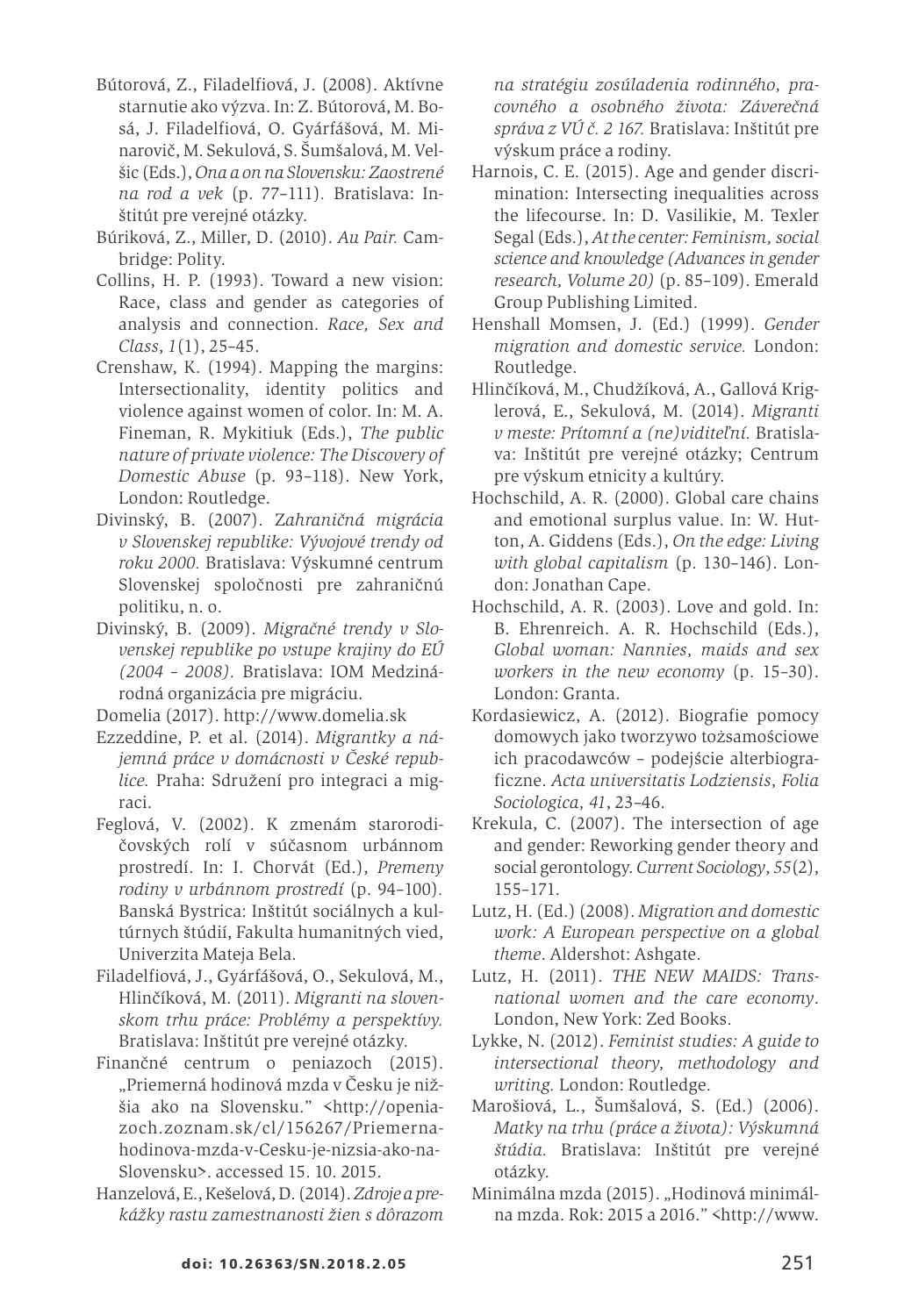- Bútorová, Z., Filadelfiová, J. (2008). Aktívne starnutie ako výzva. In: Z. Bútorová, M. Bosá, J. Filadelfiová, O. Gyárfášová, M. Minarovič, M. Sekulová, S. Šumšalová, M. Velšic (Eds.),*Ona a on na Slovensku: Zaostrené na rod a vek* (p. 77–111)*.* Bratislava: Inštitút pre verejné otázky.
- Búriková, Z., Miller, D. (2010). *Au Pair.* Cambridge: Polity.
- Collins, H. P. (1993). Toward a new vision: Race, class and gender as categories of analysis and connection. *Race, Sex and Class*, *1*(1), 25–45.
- Crenshaw, K. (1994). Mapping the margins: Intersectionality, identity politics and violence against women of color. In: M. A. Fineman, R. Mykitiuk (Eds.), *The public nature of private violence: The Discovery of Domestic Abuse* (p. 93–118). New York, London: Routledge.
- Divinský, B. (2007). Z*ahraničná migrácia v Slovenskej republike: Vývojové trendy od roku 2000.* Bratislava: Výskumné centrum Slovenskej spoločnosti pre zahraničnú politiku, n. o.
- Divinský, B. (2009). *Migračné trendy v Slovenskej republike po vstupe krajiny do EÚ (2004 – 2008).* Bratislava: IOM Medzinárodná organizácia pre migráciu.
- Domelia (2017). http://www.domelia.sk
- Ezzeddine, P. et al. (2014). *Migrantky a nájemná práce v domácnosti v České republice.* Praha: Sdružení pro integraci a migraci.
- Feglová, V. (2002). K zmenám starorodičovských rolí v súčasnom urbánnom prostredí. In: I. Chorvát (Ed.), *Premeny rodiny v urbánnom prostredí* (p. 94–100)*.* Banská Bystrica: Inštitút sociálnych a kultúrnych štúdií, Fakulta humanitných vied, Univerzita Mateja Bela.
- Filadelfiová, J., Gyárfášová, O., Sekulová, M., Hlinčíková, M. (2011). *Migranti na slovenskom trhu práce: Problémy a perspektívy.* Bratislava: Inštitút pre verejné otázky.
- Finančné centrum o peniazoch (2015). "Priemerná hodinová mzda v Česku je nižšia ako na Slovensku." <http://openiazoch.zoznam.sk/cl/156267/Priemernahodinova-mzda-v-Cesku-je-nizsia-ako-na-Slovensku>. accessed 15. 10. 2015.
- Hanzelová,E.,Kešelová,D.(2014).*Zdroje a prekážky rastu zamestnanosti žien s dôrazom*

*na stratégiu zosúladenia rodinného, pracovného a osobného života: Záverečná správa z VÚ č. 2 167.* Bratislava: Inštitút pre výskum práce a rodiny.

- Harnois, C. E. (2015). Age and gender discrimination: Intersecting inequalities across the lifecourse. In: D. Vasilikie, M. Texler Segal(Eds.),*At the center: Feminism, social science and knowledge (Advances in gender research, Volume 20)* (p. 85–109). Emerald Group Publishing Limited.
- Henshall Momsen, J. (Ed.) (1999). *Gender migration and domestic service.* London: Routledge.
- Hlinčíková, M., Chudžíková, A., Gallová Kriglerová, E., Sekulová, M. (2014). *Migranti v meste: Prítomní a (ne)viditeľní.* Bratislava: Inštitút pre verejné otázky; Centrum pre výskum etnicity a kultúry.
- Hochschild, A. R. (2000). Global care chains and emotional surplus value. In: W. Hutton, A. Giddens (Eds.), *On the edge: Living with global capitalism* (p. 130–146). London: Jonathan Cape.
- Hochschild, A. R. (2003). Love and gold. In: B. Ehrenreich. A. R. Hochschild (Eds.), *Global woman: Nannies, maids and sex workers in the new economy* (p. 15–30). London: Granta.
- Kordasiewicz, A. (2012). Biografie pomocy domowych jako tworzywo tożsamościowe ich pracodawców – podejście alterbiograficzne. *Acta universitatis Lodziensis, Folia Sociologica, 41*, 23–46.
- Krekula, C. (2007). The intersection of age and gender: Reworking gender theory and social gerontology. *Current Sociology*, *55*(2), 155–171.
- Lutz, H.(Ed.)(2008). *Migration and domestic work: A European perspective on a global theme*. Aldershot: Ashgate.
- Lutz, H. (2011). *THE NEW MAIDS: Transnational women and the care economy*. London, New York: Zed Books.
- Lykke, N. (2012). *Feminist studies: A guide to intersectional theory, methodology and writing.* London: Routledge.
- Marošiová, L., Šumšalová, S. (Ed.) (2006). *Matky na trhu (práce a života): Výskumná štúdia.* Bratislava: Inštitút pre verejné otázky.
- Minimálna mzda (2015). "Hodinová minimálna mzda. Rok: 2015 a 2016." <http://www.